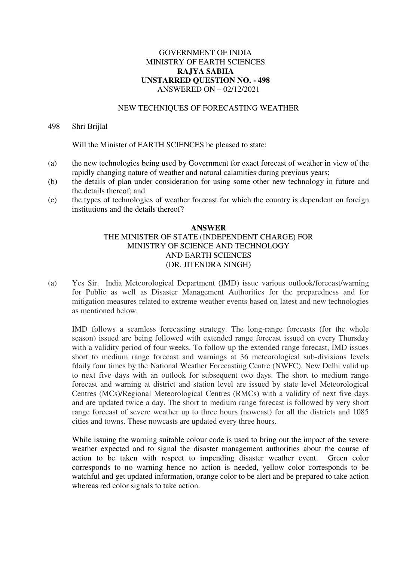### GOVERNMENT OF INDIA MINISTRY OF EARTH SCIENCES **RAJYA SABHA UNSTARRED QUESTION NO. - 498**  ANSWERED ON – 02/12/2021

#### NEW TECHNIQUES OF FORECASTING WEATHER

#### 498 Shri Brijlal

Will the Minister of EARTH SCIENCES be pleased to state:

- (a) the new technologies being used by Government for exact forecast of weather in view of the rapidly changing nature of weather and natural calamities during previous years;
- (b) the details of plan under consideration for using some other new technology in future and the details thereof; and
- (c) the types of technologies of weather forecast for which the country is dependent on foreign institutions and the details thereof?

#### **ANSWER**  THE MINISTER OF STATE (INDEPENDENT CHARGE) FOR MINISTRY OF SCIENCE AND TECHNOLOGY AND EARTH SCIENCES (DR. JITENDRA SINGH)

(a) Yes Sir. India Meteorological Department (IMD) issue various outlook/forecast/warning for Public as well as Disaster Management Authorities for the preparedness and for mitigation measures related to extreme weather events based on latest and new technologies as mentioned below.

IMD follows a seamless forecasting strategy. The long-range forecasts (for the whole season) issued are being followed with extended range forecast issued on every Thursday with a validity period of four weeks. To follow up the extended range forecast, IMD issues short to medium range forecast and warnings at 36 meteorological sub-divisions levels fdaily four times by the National Weather Forecasting Centre (NWFC), New Delhi valid up to next five days with an outlook for subsequent two days. The short to medium range forecast and warning at district and station level are issued by state level Meteorological Centres (MCs)/Regional Meteorological Centres (RMCs) with a validity of next five days and are updated twice a day. The short to medium range forecast is followed by very short range forecast of severe weather up to three hours (nowcast) for all the districts and 1085 cities and towns. These nowcasts are updated every three hours.

While issuing the warning suitable colour code is used to bring out the impact of the severe weather expected and to signal the disaster management authorities about the course of action to be taken with respect to impending disaster weather event. Green color corresponds to no warning hence no action is needed, yellow color corresponds to be watchful and get updated information, orange color to be alert and be prepared to take action whereas red color signals to take action.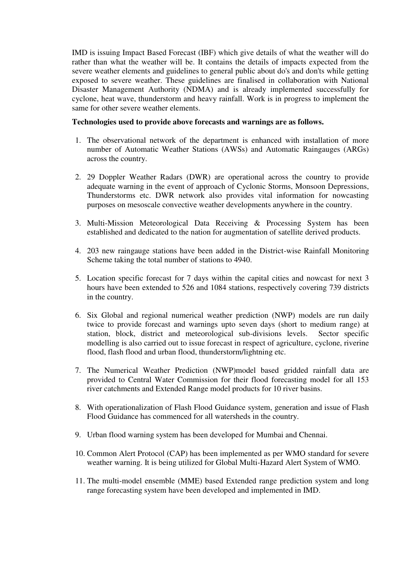IMD is issuing Impact Based Forecast (IBF) which give details of what the weather will do rather than what the weather will be. It contains the details of impacts expected from the severe weather elements and guidelines to general public about do's and don'ts while getting exposed to severe weather. These guidelines are finalised in collaboration with National Disaster Management Authority (NDMA) and is already implemented successfully for cyclone, heat wave, thunderstorm and heavy rainfall. Work is in progress to implement the same for other severe weather elements.

### **Technologies used to provide above forecasts and warnings are as follows.**

- 1. The observational network of the department is enhanced with installation of more number of Automatic Weather Stations (AWSs) and Automatic Raingauges (ARGs) across the country.
- 2. 29 Doppler Weather Radars (DWR) are operational across the country to provide adequate warning in the event of approach of Cyclonic Storms, Monsoon Depressions, Thunderstorms etc. DWR network also provides vital information for nowcasting purposes on mesoscale convective weather developments anywhere in the country.
- 3. Multi-Mission Meteorological Data Receiving & Processing System has been established and dedicated to the nation for augmentation of satellite derived products.
- 4. 203 new raingauge stations have been added in the District-wise Rainfall Monitoring Scheme taking the total number of stations to 4940.
- 5. Location specific forecast for 7 days within the capital cities and nowcast for next 3 hours have been extended to 526 and 1084 stations, respectively covering 739 districts in the country.
- 6. Six Global and regional numerical weather prediction (NWP) models are run daily twice to provide forecast and warnings upto seven days (short to medium range) at station, block, district and meteorological sub-divisions levels. Sector specific modelling is also carried out to issue forecast in respect of agriculture, cyclone, riverine flood, flash flood and urban flood, thunderstorm/lightning etc.
- 7. The Numerical Weather Prediction (NWP)model based gridded rainfall data are provided to Central Water Commission for their flood forecasting model for all 153 river catchments and Extended Range model products for 10 river basins.
- 8. With operationalization of Flash Flood Guidance system, generation and issue of Flash Flood Guidance has commenced for all watersheds in the country.
- 9. Urban flood warning system has been developed for Mumbai and Chennai.
- 10. Common Alert Protocol (CAP) has been implemented as per WMO standard for severe weather warning. It is being utilized for Global Multi-Hazard Alert System of WMO.
- 11. The multi-model ensemble (MME) based Extended range prediction system and long range forecasting system have been developed and implemented in IMD.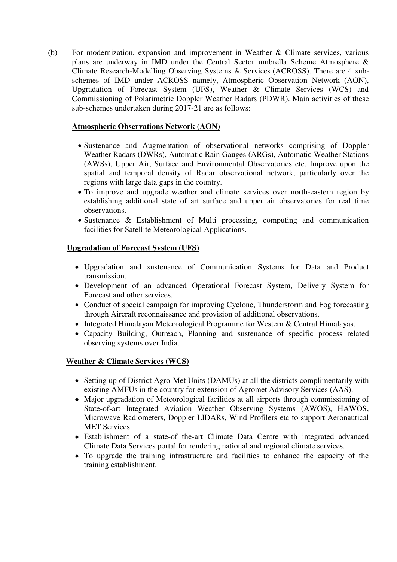(b) For modernization, expansion and improvement in Weather & Climate services, various plans are underway in IMD under the Central Sector umbrella Scheme Atmosphere & Climate Research-Modelling Observing Systems & Services (ACROSS). There are 4 subschemes of IMD under ACROSS namely, Atmospheric Observation Network (AON), Upgradation of Forecast System (UFS), Weather & Climate Services (WCS) and Commissioning of Polarimetric Doppler Weather Radars (PDWR). Main activities of these sub-schemes undertaken during 2017-21 are as follows:

## **Atmospheric Observations Network (AON)**

- Sustenance and Augmentation of observational networks comprising of Doppler Weather Radars (DWRs), Automatic Rain Gauges (ARGs), Automatic Weather Stations (AWSs), Upper Air, Surface and Environmental Observatories etc. Improve upon the spatial and temporal density of Radar observational network, particularly over the regions with large data gaps in the country.
- To improve and upgrade weather and climate services over north-eastern region by establishing additional state of art surface and upper air observatories for real time observations.
- Sustenance & Establishment of Multi processing, computing and communication facilities for Satellite Meteorological Applications.

# **Upgradation of Forecast System (UFS)**

- Upgradation and sustenance of Communication Systems for Data and Product transmission.
- Development of an advanced Operational Forecast System, Delivery System for Forecast and other services.
- Conduct of special campaign for improving Cyclone, Thunderstorm and Fog forecasting through Aircraft reconnaissance and provision of additional observations.
- Integrated Himalayan Meteorological Programme for Western & Central Himalayas.
- Capacity Building, Outreach, Planning and sustenance of specific process related observing systems over India.

## **Weather & Climate Services (WCS)**

- Setting up of District Agro-Met Units (DAMUs) at all the districts complimentarily with existing AMFUs in the country for extension of Agromet Advisory Services (AAS).
- Major upgradation of Meteorological facilities at all airports through commissioning of State-of-art Integrated Aviation Weather Observing Systems (AWOS), HAWOS, Microwave Radiometers, Doppler LIDARs, Wind Profilers etc to support Aeronautical MET Services.
- Establishment of a state-of the-art Climate Data Centre with integrated advanced Climate Data Services portal for rendering national and regional climate services.
- To upgrade the training infrastructure and facilities to enhance the capacity of the training establishment.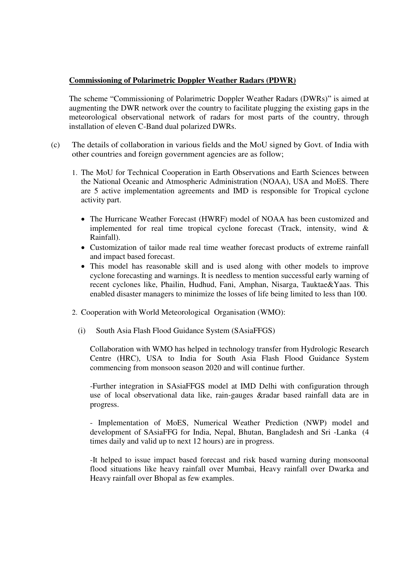## **Commissioning of Polarimetric Doppler Weather Radars (PDWR)**

The scheme "Commissioning of Polarimetric Doppler Weather Radars (DWRs)" is aimed at augmenting the DWR network over the country to facilitate plugging the existing gaps in the meteorological observational network of radars for most parts of the country, through installation of eleven C-Band dual polarized DWRs.

- (c) The details of collaboration in various fields and the MoU signed by Govt. of India with other countries and foreign government agencies are as follow;
	- 1. The MoU for Technical Cooperation in Earth Observations and Earth Sciences between the National Oceanic and Atmospheric Administration (NOAA), USA and MoES. There are 5 active implementation agreements and IMD is responsible for Tropical cyclone activity part.
		- The Hurricane Weather Forecast (HWRF) model of NOAA has been customized and implemented for real time tropical cyclone forecast (Track, intensity, wind  $\&$ Rainfall).
		- Customization of tailor made real time weather forecast products of extreme rainfall and impact based forecast.
		- This model has reasonable skill and is used along with other models to improve cyclone forecasting and warnings. It is needless to mention successful early warning of recent cyclones like, Phailin, Hudhud, Fani, Amphan, Nisarga, Tauktae&Yaas. This enabled disaster managers to minimize the losses of life being limited to less than 100.
	- 2. Cooperation with World Meteorological Organisation (WMO):
		- (i) South Asia Flash Flood Guidance System (SAsiaFFGS)

Collaboration with WMO has helped in technology transfer from Hydrologic Research Centre (HRC), USA to India for South Asia Flash Flood Guidance System commencing from monsoon season 2020 and will continue further.

-Further integration in SAsiaFFGS model at IMD Delhi with configuration through use of local observational data like, rain-gauges &radar based rainfall data are in progress.

- Implementation of MoES, Numerical Weather Prediction (NWP) model and development of SAsiaFFG for India, Nepal, Bhutan, Bangladesh and Sri -Lanka (4 times daily and valid up to next 12 hours) are in progress.

-It helped to issue impact based forecast and risk based warning during monsoonal flood situations like heavy rainfall over Mumbai, Heavy rainfall over Dwarka and Heavy rainfall over Bhopal as few examples.